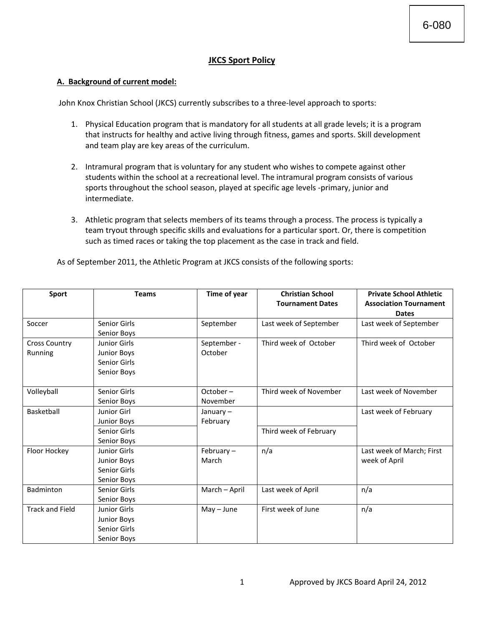## **JKCS Sport Policy**

#### **A. Background of current model:**

John Knox Christian School (JKCS) currently subscribes to a three-level approach to sports:

- 1. Physical Education program that is mandatory for all students at all grade levels; it is a program that instructs for healthy and active living through fitness, games and sports. Skill development and team play are key areas of the curriculum.
- 2. Intramural program that is voluntary for any student who wishes to compete against other students within the school at a recreational level. The intramural program consists of various sports throughout the school season, played at specific age levels -primary, junior and intermediate.
- 3. Athletic program that selects members of its teams through a process. The process is typically a team tryout through specific skills and evaluations for a particular sport. Or, there is competition such as timed races or taking the top placement as the case in track and field.

|  | As of September 2011, the Athletic Program at JKCS consists of the following sports: |
|--|--------------------------------------------------------------------------------------|
|--|--------------------------------------------------------------------------------------|

| Sport                           | <b>Teams</b>                                                              | Time of year            | <b>Christian School</b><br><b>Tournament Dates</b> | <b>Private School Athletic</b><br><b>Association Tournament</b><br><b>Dates</b> |
|---------------------------------|---------------------------------------------------------------------------|-------------------------|----------------------------------------------------|---------------------------------------------------------------------------------|
| Soccer                          | Senior Girls                                                              | September               | Last week of September                             | Last week of September                                                          |
| <b>Cross Country</b><br>Running | Senior Boys<br>Junior Girls<br>Junior Boys<br>Senior Girls<br>Senior Boys | September -<br>October  | Third week of October                              | Third week of October                                                           |
| Volleyball                      | Senior Girls<br>Senior Boys                                               | $October -$<br>November | Third week of November                             | Last week of November                                                           |
| Basketball                      | Junior Girl<br><b>Junior Boys</b>                                         | January $-$<br>February |                                                    | Last week of February                                                           |
|                                 | Senior Girls<br>Senior Boys                                               |                         | Third week of February                             |                                                                                 |
| Floor Hockey                    | Junior Girls<br><b>Junior Boys</b><br>Senior Girls<br>Senior Boys         | February-<br>March      | n/a                                                | Last week of March; First<br>week of April                                      |
| Badminton                       | Senior Girls<br>Senior Boys                                               | March - April           | Last week of April                                 | n/a                                                                             |
| <b>Track and Field</b>          | <b>Junior Girls</b><br>Junior Boys<br>Senior Girls<br>Senior Boys         | $May - June$            | First week of June                                 | n/a                                                                             |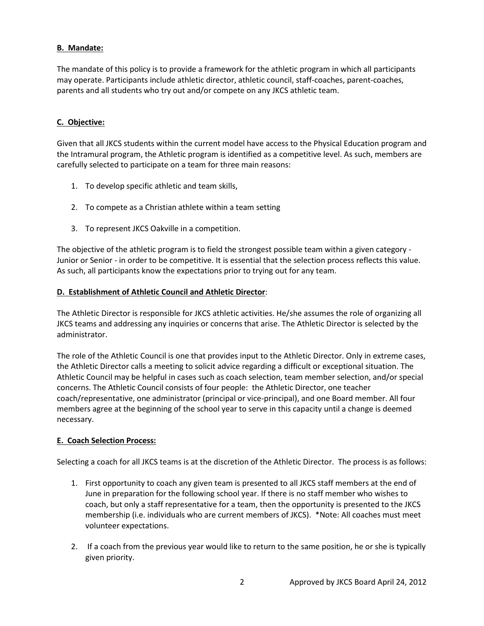### **B. Mandate:**

The mandate of this policy is to provide a framework for the athletic program in which all participants may operate. Participants include athletic director, athletic council, staff-coaches, parent-coaches, parents and all students who try out and/or compete on any JKCS athletic team.

#### **C. Objective:**

Given that all JKCS students within the current model have access to the Physical Education program and the Intramural program, the Athletic program is identified as a competitive level. As such, members are carefully selected to participate on a team for three main reasons:

- 1. To develop specific athletic and team skills,
- 2. To compete as a Christian athlete within a team setting
- 3. To represent JKCS Oakville in a competition.

The objective of the athletic program is to field the strongest possible team within a given category - Junior or Senior - in order to be competitive. It is essential that the selection process reflects this value. As such, all participants know the expectations prior to trying out for any team.

#### **D. Establishment of Athletic Council and Athletic Director**:

The Athletic Director is responsible for JKCS athletic activities. He/she assumes the role of organizing all JKCS teams and addressing any inquiries or concerns that arise. The Athletic Director is selected by the administrator.

The role of the Athletic Council is one that provides input to the Athletic Director. Only in extreme cases, the Athletic Director calls a meeting to solicit advice regarding a difficult or exceptional situation. The Athletic Council may be helpful in cases such as coach selection, team member selection, and/or special concerns. The Athletic Council consists of four people: the Athletic Director, one teacher coach/representative, one administrator (principal or vice-principal), and one Board member. All four members agree at the beginning of the school year to serve in this capacity until a change is deemed necessary.

#### **E. Coach Selection Process:**

Selecting a coach for all JKCS teams is at the discretion of the Athletic Director. The process is as follows:

- 1. First opportunity to coach any given team is presented to all JKCS staff members at the end of June in preparation for the following school year. If there is no staff member who wishes to coach, but only a staff representative for a team, then the opportunity is presented to the JKCS membership (i.e. individuals who are current members of JKCS). \*Note: All coaches must meet volunteer expectations.
- 2. If a coach from the previous year would like to return to the same position, he or she is typically given priority.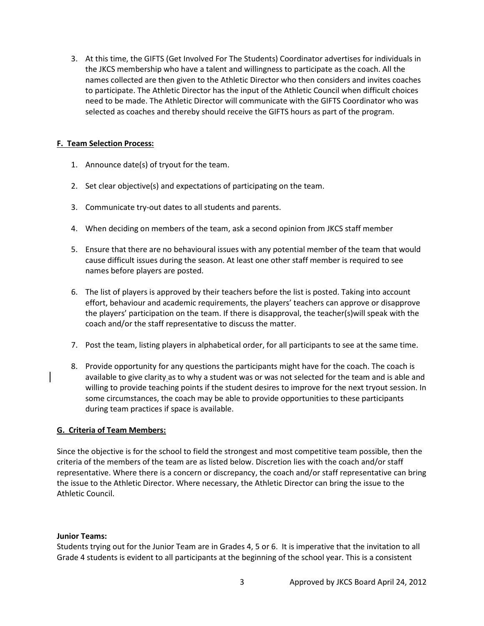3. At this time, the GIFTS (Get Involved For The Students) Coordinator advertises for individuals in the JKCS membership who have a talent and willingness to participate as the coach. All the names collected are then given to the Athletic Director who then considers and invites coaches to participate. The Athletic Director has the input of the Athletic Council when difficult choices need to be made. The Athletic Director will communicate with the GIFTS Coordinator who was selected as coaches and thereby should receive the GIFTS hours as part of the program.

#### **F. Team Selection Process:**

- 1. Announce date(s) of tryout for the team.
- 2. Set clear objective(s) and expectations of participating on the team.
- 3. Communicate try-out dates to all students and parents.
- 4. When deciding on members of the team, ask a second opinion from JKCS staff member
- 5. Ensure that there are no behavioural issues with any potential member of the team that would cause difficult issues during the season. At least one other staff member is required to see names before players are posted.
- 6. The list of players is approved by their teachers before the list is posted. Taking into account effort, behaviour and academic requirements, the players' teachers can approve or disapprove the players' participation on the team. If there is disapproval, the teacher(s)will speak with the coach and/or the staff representative to discuss the matter.
- 7. Post the team, listing players in alphabetical order, for all participants to see at the same time.
- 8. Provide opportunity for any questions the participants might have for the coach. The coach is available to give clarity as to why a student was or was not selected for the team and is able and willing to provide teaching points if the student desires to improve for the next tryout session. In some circumstances, the coach may be able to provide opportunities to these participants during team practices if space is available.

### **G. Criteria of Team Members:**

Since the objective is for the school to field the strongest and most competitive team possible, then the criteria of the members of the team are as listed below. Discretion lies with the coach and/or staff representative. Where there is a concern or discrepancy, the coach and/or staff representative can bring the issue to the Athletic Director. Where necessary, the Athletic Director can bring the issue to the Athletic Council.

#### **Junior Teams:**

Students trying out for the Junior Team are in Grades 4, 5 or 6. It is imperative that the invitation to all Grade 4 students is evident to all participants at the beginning of the school year. This is a consistent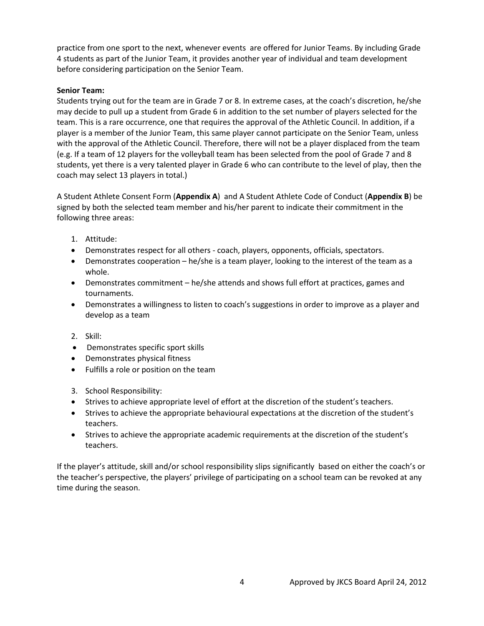practice from one sport to the next, whenever events are offered for Junior Teams. By including Grade 4 students as part of the Junior Team, it provides another year of individual and team development before considering participation on the Senior Team.

#### **Senior Team:**

Students trying out for the team are in Grade 7 or 8. In extreme cases, at the coach's discretion, he/she may decide to pull up a student from Grade 6 in addition to the set number of players selected for the team. This is a rare occurrence, one that requires the approval of the Athletic Council. In addition, if a player is a member of the Junior Team, this same player cannot participate on the Senior Team, unless with the approval of the Athletic Council. Therefore, there will not be a player displaced from the team (e.g. If a team of 12 players for the volleyball team has been selected from the pool of Grade 7 and 8 students, yet there is a very talented player in Grade 6 who can contribute to the level of play, then the coach may select 13 players in total.)

A Student Athlete Consent Form (**Appendix A**) and A Student Athlete Code of Conduct (**Appendix B**) be signed by both the selected team member and his/her parent to indicate their commitment in the following three areas:

- 1. Attitude:
- Demonstrates respect for all others coach, players, opponents, officials, spectators.
- Demonstrates cooperation he/she is a team player, looking to the interest of the team as a whole.
- Demonstrates commitment he/she attends and shows full effort at practices, games and tournaments.
- Demonstrates a willingness to listen to coach's suggestions in order to improve as a player and develop as a team
- 2. Skill:
- Demonstrates specific sport skills
- Demonstrates physical fitness
- Fulfills a role or position on the team
- 3. School Responsibility:
- Strives to achieve appropriate level of effort at the discretion of the student's teachers.
- Strives to achieve the appropriate behavioural expectations at the discretion of the student's teachers.
- Strives to achieve the appropriate academic requirements at the discretion of the student's teachers.

If the player's attitude, skill and/or school responsibility slips significantly based on either the coach's or the teacher's perspective, the players' privilege of participating on a school team can be revoked at any time during the season.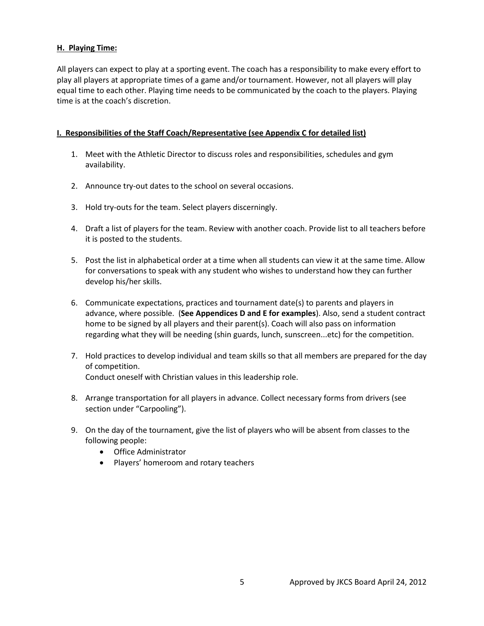### **H. Playing Time:**

All players can expect to play at a sporting event. The coach has a responsibility to make every effort to play all players at appropriate times of a game and/or tournament. However, not all players will play equal time to each other. Playing time needs to be communicated by the coach to the players. Playing time is at the coach's discretion.

#### **I. Responsibilities of the Staff Coach/Representative (see Appendix C for detailed list)**

- 1. Meet with the Athletic Director to discuss roles and responsibilities, schedules and gym availability.
- 2. Announce try-out dates to the school on several occasions.
- 3. Hold try-outs for the team. Select players discerningly.
- 4. Draft a list of players for the team. Review with another coach. Provide list to all teachers before it is posted to the students.
- 5. Post the list in alphabetical order at a time when all students can view it at the same time. Allow for conversations to speak with any student who wishes to understand how they can further develop his/her skills.
- 6. Communicate expectations, practices and tournament date(s) to parents and players in advance, where possible. (**See Appendices D and E for examples**). Also, send a student contract home to be signed by all players and their parent(s). Coach will also pass on information regarding what they will be needing (shin guards, lunch, sunscreen...etc) for the competition.
- 7. Hold practices to develop individual and team skills so that all members are prepared for the day of competition. Conduct oneself with Christian values in this leadership role.
- 8. Arrange transportation for all players in advance. Collect necessary forms from drivers (see section under "Carpooling").
- 9. On the day of the tournament, give the list of players who will be absent from classes to the following people:
	- Office Administrator
	- Players' homeroom and rotary teachers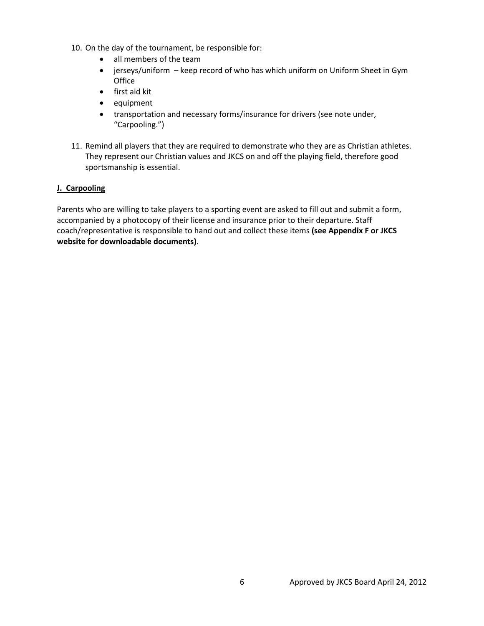- 10. On the day of the tournament, be responsible for:
	- all members of the team
	- jerseys/uniform keep record of who has which uniform on Uniform Sheet in Gym **Office**
	- first aid kit
	- equipment
	- transportation and necessary forms/insurance for drivers (see note under, "Carpooling.")
- 11. Remind all players that they are required to demonstrate who they are as Christian athletes. They represent our Christian values and JKCS on and off the playing field, therefore good sportsmanship is essential.

### **J. Carpooling**

Parents who are willing to take players to a sporting event are asked to fill out and submit a form, accompanied by a photocopy of their license and insurance prior to their departure. Staff coach/representative is responsible to hand out and collect these items **(see Appendix F or JKCS website for downloadable documents)**.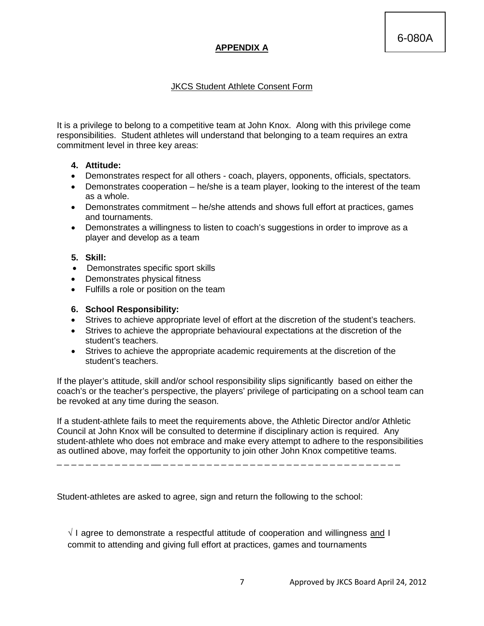## **APPENDIX A**

## JKCS Student Athlete Consent Form

It is a privilege to belong to a competitive team at John Knox. Along with this privilege come responsibilities. Student athletes will understand that belonging to a team requires an extra commitment level in three key areas:

## **4. Attitude:**

- Demonstrates respect for all others coach, players, opponents, officials, spectators.
- Demonstrates cooperation he/she is a team player, looking to the interest of the team as a whole.
- Demonstrates commitment he/she attends and shows full effort at practices, games and tournaments.
- Demonstrates a willingness to listen to coach's suggestions in order to improve as a player and develop as a team

## **5. Skill:**

- Demonstrates specific sport skills
- Demonstrates physical fitness
- Fulfills a role or position on the team

## **6. School Responsibility:**

- Strives to achieve appropriate level of effort at the discretion of the student's teachers.
- Strives to achieve the appropriate behavioural expectations at the discretion of the student's teachers.
- Strives to achieve the appropriate academic requirements at the discretion of the student's teachers.

If the player's attitude, skill and/or school responsibility slips significantly based on either the coach's or the teacher's perspective, the players' privilege of participating on a school team can be revoked at any time during the season.

If a student-athlete fails to meet the requirements above, the Athletic Director and/or Athletic Council at John Knox will be consulted to determine if disciplinary action is required. Any student-athlete who does not embrace and make every attempt to adhere to the responsibilities as outlined above, may forfeit the opportunity to join other John Knox competitive teams.

\_ \_ \_ \_ \_ \_ \_ \_ \_ \_ \_ \_ \_ \_\_ \_ \_ \_ \_ \_ \_ \_ \_ \_ \_ \_ \_ \_ \_ \_ \_ \_ \_ \_ \_ \_ \_ \_ \_ \_ \_ \_ \_ \_ \_ \_ \_ \_

Student-athletes are asked to agree, sign and return the following to the school:

 $\sqrt{ }$  I agree to demonstrate a respectful attitude of cooperation and willingness and I commit to attending and giving full effort at practices, games and tournaments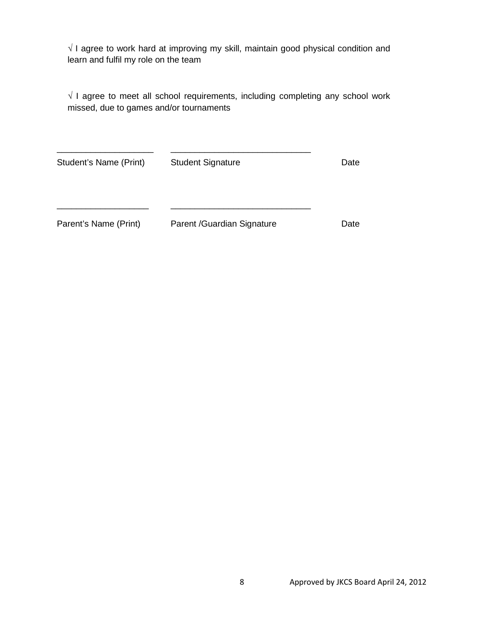$\sqrt{1}$  agree to work hard at improving my skill, maintain good physical condition and learn and fulfil my role on the team

√ I agree to meet all school requirements, including completing any school work missed, due to games and/or tournaments

| Student's Name (Print) | <b>Student Signature</b>    | Date |
|------------------------|-----------------------------|------|
|                        |                             |      |
| Parent's Name (Print)  | Parent / Guardian Signature | Date |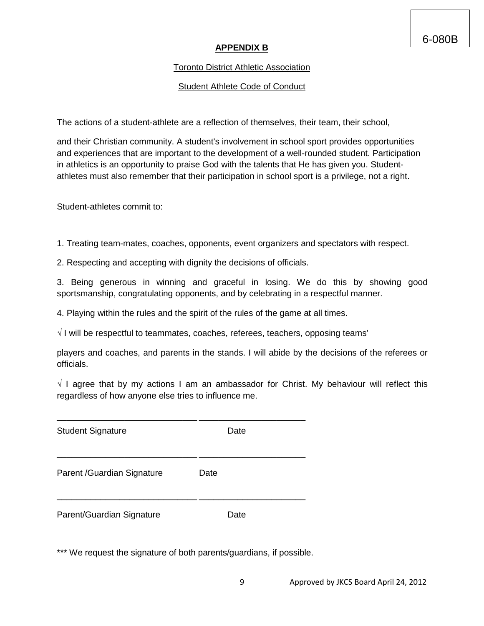## **APPENDIX B**

## Toronto District Athletic Association

## Student Athlete Code of Conduct

The actions of a student-athlete are a reflection of themselves, their team, their school,

and their Christian community. A student's involvement in school sport provides opportunities and experiences that are important to the development of a well-rounded student. Participation in athletics is an opportunity to praise God with the talents that He has given you. Studentathletes must also remember that their participation in school sport is a privilege, not a right.

Student-athletes commit to:

1. Treating team-mates, coaches, opponents, event organizers and spectators with respect.

2. Respecting and accepting with dignity the decisions of officials.

3. Being generous in winning and graceful in losing. We do this by showing good sportsmanship, congratulating opponents, and by celebrating in a respectful manner.

4. Playing within the rules and the spirit of the rules of the game at all times.

 $\sqrt{ }$  I will be respectful to teammates, coaches, referees, teachers, opposing teams'

players and coaches, and parents in the stands. I will abide by the decisions of the referees or officials.

 $\sqrt{}$  I agree that by my actions I am an ambassador for Christ. My behaviour will reflect this regardless of how anyone else tries to influence me.

| <b>Student Signature</b>   | Date |
|----------------------------|------|
| Parent /Guardian Signature | Date |
| Parent/Guardian Signature  | Date |

\*\*\* We request the signature of both parents/guardians, if possible.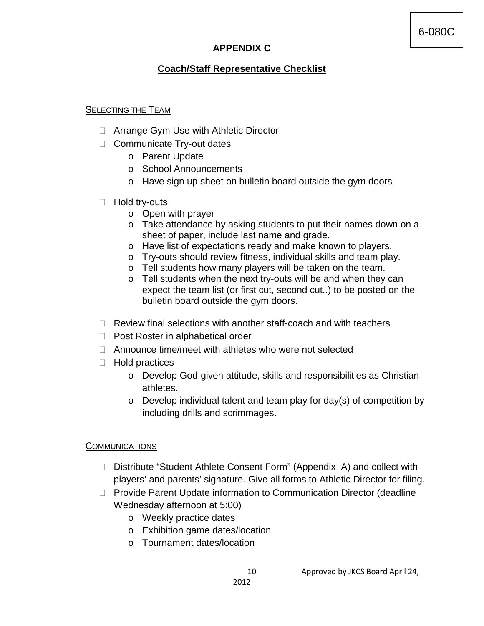# **APPENDIX C**

## **Coach/Staff Representative Checklist**

## SELECTING THE TEAM

- □ Arrange Gym Use with Athletic Director
- □ Communicate Try-out dates
	- o Parent Update
	- o School Announcements
	- o Have sign up sheet on bulletin board outside the gym doors
- □ Hold try-outs
	- o Open with prayer
	- o Take attendance by asking students to put their names down on a sheet of paper, include last name and grade.
	- o Have list of expectations ready and make known to players.
	- o Try-outs should review fitness, individual skills and team play.
	- o Tell students how many players will be taken on the team.
	- o Tell students when the next try-outs will be and when they can expect the team list (or first cut, second cut..) to be posted on the bulletin board outside the gym doors.
- $\Box$  Review final selections with another staff-coach and with teachers
- □ Post Roster in alphabetical order
- □ Announce time/meet with athletes who were not selected
- $\Box$  Hold practices
	- o Develop God-given attitude, skills and responsibilities as Christian athletes.
	- $\circ$  Develop individual talent and team play for day(s) of competition by including drills and scrimmages.

## **COMMUNICATIONS**

- □ Distribute "Student Athlete Consent Form" (Appendix A) and collect with players' and parents' signature. Give all forms to Athletic Director for filing.
- □ Provide Parent Update information to Communication Director (deadline Wednesday afternoon at 5:00)
	- o Weekly practice dates
	- o Exhibition game dates/location
	- o Tournament dates/location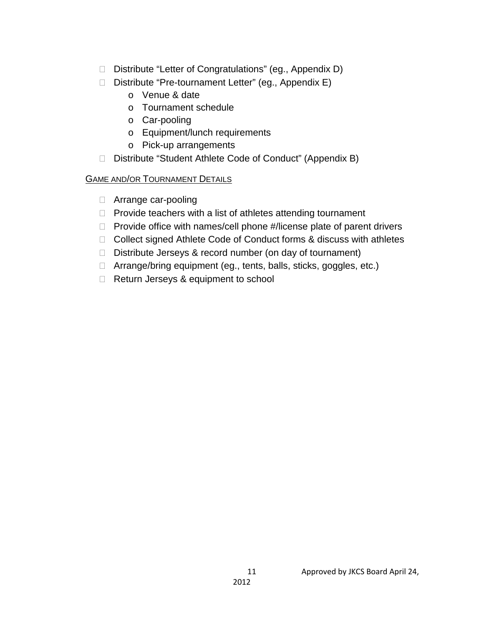- □ Distribute "Letter of Congratulations" (eg., Appendix D)
- Distribute "Pre-tournament Letter" (eg., Appendix E)
	- o Venue & date
	- o Tournament schedule
	- o Car-pooling
	- o Equipment/lunch requirements
	- o Pick-up arrangements
- □ Distribute "Student Athlete Code of Conduct" (Appendix B)

## GAME AND/OR TOURNAMENT DETAILS

- □ Arrange car-pooling
- $\Box$  Provide teachers with a list of athletes attending tournament
- $\Box$  Provide office with names/cell phone  $\#$ /license plate of parent drivers
- □ Collect signed Athlete Code of Conduct forms & discuss with athletes
- $\Box$  Distribute Jerseys & record number (on day of tournament)
- □ Arrange/bring equipment (eg., tents, balls, sticks, goggles, etc.)
- Return Jerseys & equipment to school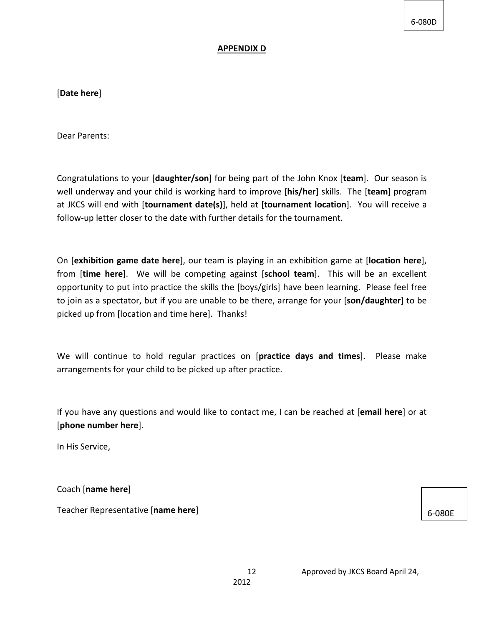6-080D

#### **APPENDIX D**

[**Date here**]

Dear Parents:

Congratulations to your [**daughter/son**] for being part of the John Knox [**team**]. Our season is well underway and your child is working hard to improve [**his/her**] skills. The [**team**] program at JKCS will end with [**tournament date(s)**], held at [**tournament location**]. You will receive a follow-up letter closer to the date with further details for the tournament.

On [**exhibition game date here**], our team is playing in an exhibition game at [**location here**], from [**time here**]. We will be competing against [**school team**]. This will be an excellent opportunity to put into practice the skills the [boys/girls] have been learning. Please feel free to join as a spectator, but if you are unable to be there, arrange for your [**son/daughter**] to be picked up from [location and time here]. Thanks!

We will continue to hold regular practices on [**practice days and times**]. Please make arrangements for your child to be picked up after practice.

If you have any questions and would like to contact me, I can be reached at [**email here**] or at [**phone number here**].

In His Service,

Coach [**name here**]

Teacher Representative [**name here**]

6-080E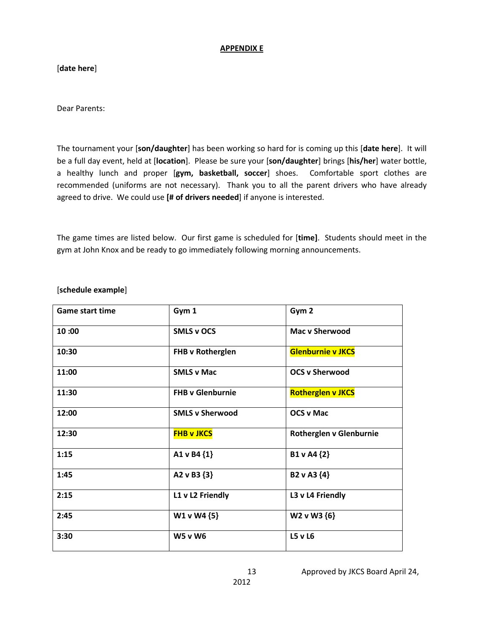#### **APPENDIX E**

[**date here**]

Dear Parents:

The tournament your [**son/daughter**] has been working so hard for is coming up this [**date here**]. It will be a full day event, held at [**location**]. Please be sure your [**son/daughter**] brings [**his/her**] water bottle, a healthy lunch and proper [**gym, basketball, soccer**] shoes. Comfortable sport clothes are recommended (uniforms are not necessary). Thank you to all the parent drivers who have already agreed to drive. We could use **[# of drivers needed**] if anyone is interested.

The game times are listed below. Our first game is scheduled for [**time]**. Students should meet in the gym at John Knox and be ready to go immediately following morning announcements.

| <b>Game start time</b> | Gym 1                   | Gym 2                    |
|------------------------|-------------------------|--------------------------|
| 10:00                  | <b>SMLS v OCS</b>       | <b>Mac v Sherwood</b>    |
| 10:30                  | FHB v Rotherglen        | <b>Glenburnie v JKCS</b> |
| 11:00                  | <b>SMLS v Mac</b>       | <b>OCS v Sherwood</b>    |
| 11:30                  | <b>FHB v Glenburnie</b> | <b>Rotherglen v JKCS</b> |
| 12:00                  | <b>SMLS v Sherwood</b>  | <b>OCS v Mac</b>         |
| 12:30                  | <b>FHB v JKCS</b>       | Rotherglen v Glenburnie  |
| 1:15                   | A1 v B4 {1}             | B1 v A4 {2}              |
| 1:45                   | A2 v B3 {3}             | B2 v A3 {4}              |
| 2:15                   | L1 v L2 Friendly        | L3 v L4 Friendly         |
| 2:45                   | W1 v W4 {5}             | W2 v W3 {6}              |
| 3:30                   | <b>W5 v W6</b>          | L5 v L6                  |

### [**schedule example**]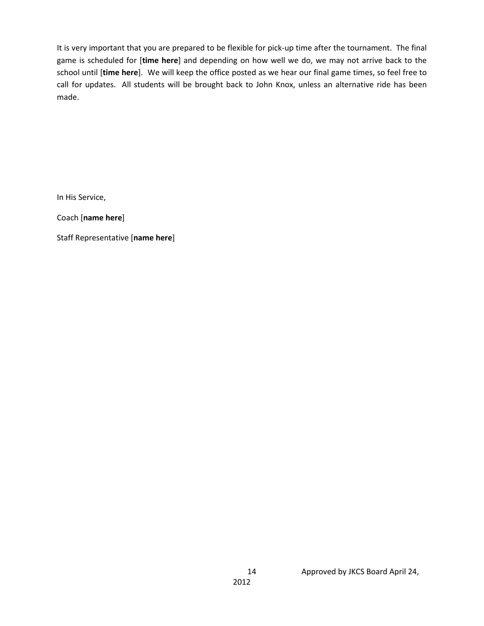It is very important that you are prepared to be flexible for pick-up time after the tournament. The final game is scheduled for [**time here**] and depending on how well we do, we may not arrive back to the school until [**time here**]. We will keep the office posted as we hear our final game times, so feel free to call for updates. All students will be brought back to John Knox, unless an alternative ride has been made.

In His Service,

Coach [**name here**]

Staff Representative [**name here**]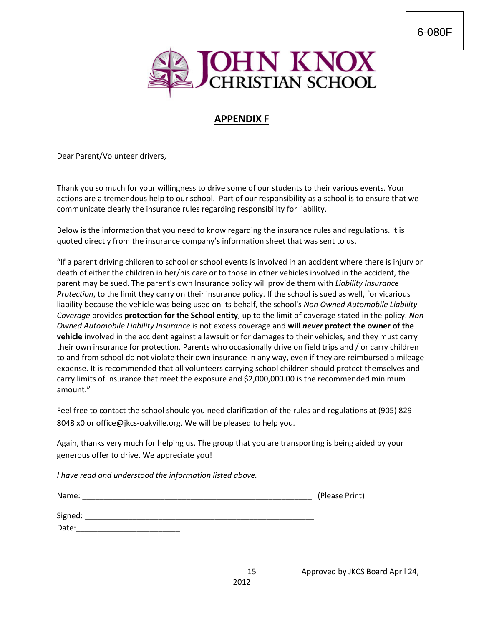

# **APPENDIX F**

Dear Parent/Volunteer drivers,

Thank you so much for your willingness to drive some of our students to their various events. Your actions are a tremendous help to our school. Part of our responsibility as a school is to ensure that we communicate clearly the insurance rules regarding responsibility for liability.

Below is the information that you need to know regarding the insurance rules and regulations. It is quoted directly from the insurance company's information sheet that was sent to us.

"If a parent driving children to school or school events is involved in an accident where there is injury or death of either the children in her/his care or to those in other vehicles involved in the accident, the parent may be sued. The parent's own Insurance policy will provide them with *Liability Insurance Protection*, to the limit they carry on their insurance policy. If the school is sued as well, for vicarious liability because the vehicle was being used on its behalf, the school's *Non Owned Automobile Liability Coverage* provides **protection for the School entity**, up to the limit of coverage stated in the policy. *Non Owned Automobile Liability Insurance* is not excess coverage and **will** *never* **protect the owner of the vehicle** involved in the accident against a lawsuit or for damages to their vehicles, and they must carry their own insurance for protection. Parents who occasionally drive on field trips and / or carry children to and from school do not violate their own insurance in any way, even if they are reimbursed a mileage expense. It is recommended that all volunteers carrying school children should protect themselves and carry limits of insurance that meet the exposure and \$2,000,000.00 is the recommended minimum amount."

Feel free to contact the school should you need clarification of the rules and regulations at (905) 829- 8048 x0 or office@jkcs-oakville.org. We will be pleased to help you.

Again, thanks very much for helping us. The group that you are transporting is being aided by your generous offer to drive. We appreciate you!

*I have read and understood the information listed above.*

| Name:   | (Please Print) |
|---------|----------------|
| Signed: |                |
| Date:   |                |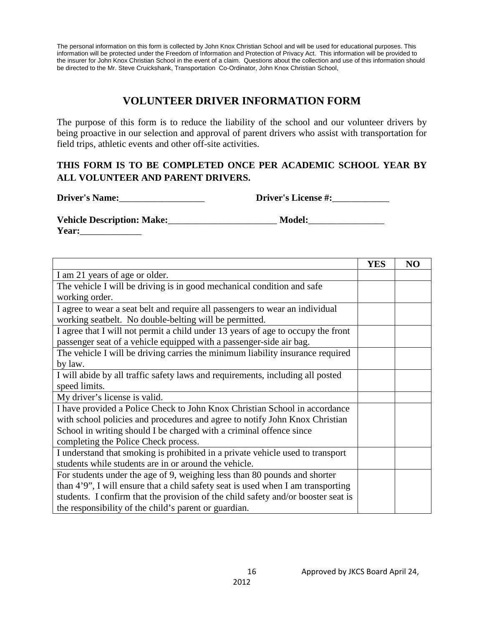The personal information on this form is collected by John Knox Christian School and will be used for educational purposes. This information will be protected under the Freedom of Information and Protection of Privacy Act. This information will be provided to the insurer for John Knox Christian School in the event of a claim. Questions about the collection and use of this information should be directed to the Mr. Steve Cruickshank, Transportation Co-Ordinator, John Knox Christian School,

# **VOLUNTEER DRIVER INFORMATION FORM**

The purpose of this form is to reduce the liability of the school and our volunteer drivers by being proactive in our selection and approval of parent drivers who assist with transportation for field trips, athletic events and other off-site activities.

## **THIS FORM IS TO BE COMPLETED ONCE PER ACADEMIC SCHOOL YEAR BY ALL VOLUNTEER AND PARENT DRIVERS.**

**Driver's Name:**\_\_\_\_\_\_\_\_\_\_\_\_\_\_\_\_\_\_ **Driver's License #:**\_\_\_\_\_\_\_\_\_\_\_\_

**Vehicle Description: Make:**\_\_\_\_\_\_\_\_\_\_\_\_\_\_\_\_\_\_\_\_\_\_\_ **Model:**\_\_\_\_\_\_\_\_\_\_\_\_\_\_\_\_ **Year:**\_\_\_\_\_\_\_\_\_\_\_\_\_

|                                                                                   | <b>YES</b> | N <sub>O</sub> |
|-----------------------------------------------------------------------------------|------------|----------------|
| I am 21 years of age or older.                                                    |            |                |
| The vehicle I will be driving is in good mechanical condition and safe            |            |                |
| working order.                                                                    |            |                |
| I agree to wear a seat belt and require all passengers to wear an individual      |            |                |
| working seatbelt. No double-belting will be permitted.                            |            |                |
| I agree that I will not permit a child under 13 years of age to occupy the front  |            |                |
| passenger seat of a vehicle equipped with a passenger-side air bag.               |            |                |
| The vehicle I will be driving carries the minimum liability insurance required    |            |                |
| by law.                                                                           |            |                |
| I will abide by all traffic safety laws and requirements, including all posted    |            |                |
| speed limits.                                                                     |            |                |
| My driver's license is valid.                                                     |            |                |
| I have provided a Police Check to John Knox Christian School in accordance        |            |                |
| with school policies and procedures and agree to notify John Knox Christian       |            |                |
| School in writing should I be charged with a criminal offence since               |            |                |
| completing the Police Check process.                                              |            |                |
| I understand that smoking is prohibited in a private vehicle used to transport    |            |                |
| students while students are in or around the vehicle.                             |            |                |
| For students under the age of 9, weighing less than 80 pounds and shorter         |            |                |
| than 4'9", I will ensure that a child safety seat is used when I am transporting  |            |                |
| students. I confirm that the provision of the child safety and/or booster seat is |            |                |
| the responsibility of the child's parent or guardian.                             |            |                |